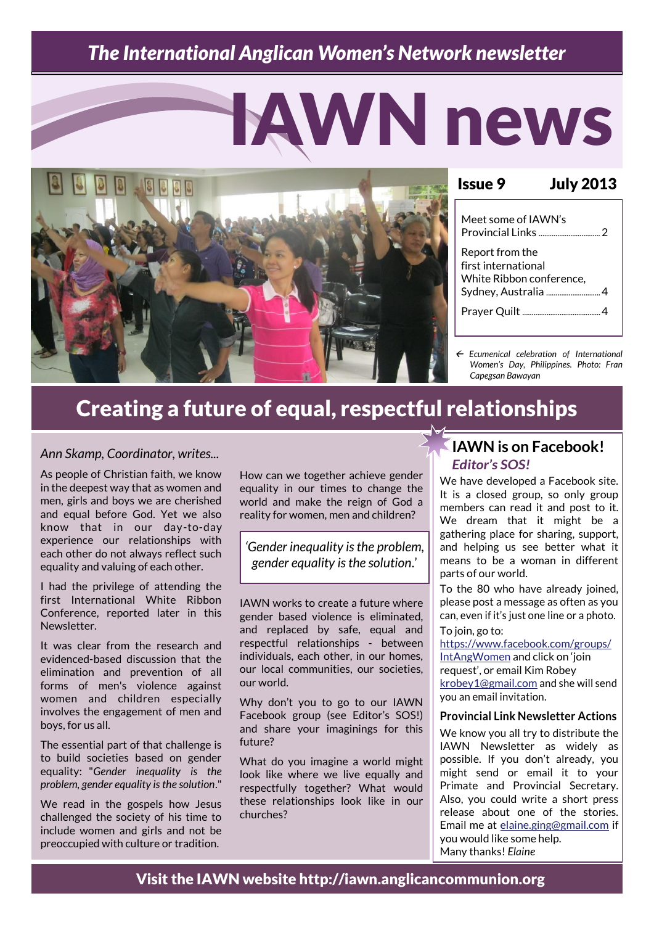### *The International Anglican Women's Network newsletter*

# IAWN news



#### Issue 9 July 2013 Meet some of IAWN's Provincial Links .................................2 Report from the first international White Ribbon conference, Sydney, Australia ..................................4 Prayer Quilt ..........................................4

 *Ecumenical celebration of International Women's Day, Philippines. Photo: Fran Capegsan Bawayan*

## Creating a future of equal, respectful relationships

#### *Ann Skamp, Coordinator, writes...*

As people of Christian faith, we know in the deepest way that as women and men, girls and boys we are cherished and equal before God. Yet we also know that in our day-to-day experience our relationships with each other do not always reflect such equality and valuing of each other.

I had the privilege of attending the first International White Ribbon Conference, reported later in this Newsletter.

It was clear from the research and evidenced-based discussion that the elimination and prevention of all forms of men's violence against women and children especially involves the engagement of men and boys, for us all.

The essential part of that challenge is to build societies based on gender equality: "*Gender inequality is the problem, gender equality is the solution*."

We read in the gospels how Jesus challenged the society of his time to include women and girls and not be preoccupied with culture or tradition.

How can we together achieve gender equality in our times to change the world and make the reign of God a reality for women, men and children?

*'Gender inequality is the problem, gender equality is the solution*.'

IAWN works to create a future where gender based violence is eliminated, and replaced by safe, equal and respectful relationships - between individuals, each other, in our homes, our local communities, our societies, our world.

Why don't you to go to our IAWN Facebook group (see Editor's SOS!) and share your imaginings for this future?

What do you imagine a world might look like where we live equally and respectfully together? What would these relationships look like in our churches?

#### **IAWN is on Facebook!**  *Editor's SOS!*

We have developed a Facebook site. It is a closed group, so only group members can read it and post to it. We dream that it might be a gathering place for sharing, support, and helping us see better what it means to be a woman in different parts of our world.

To the 80 who have already joined, please post a message as often as you can, even if it's just one line or a photo. To join, go to:

[https://www.facebook.com/groups/](https://www.facebook.com/groups/IntAngWomen/) [IntAngWomen](https://www.facebook.com/groups/IntAngWomen/) and click on 'join request', or email Kim Robey [krobey1@gmail.com](mailto:krobey1@gmail.com) and she will send you an email invitation.

#### **Provincial Link Newsletter Actions**

We know you all try to distribute the IAWN Newsletter as widely as possible. If you don't already, you might send or email it to your Primate and Provincial Secretary. Also, you could write a short press release about one of the stories. Email me at [elaine.ging@gmail.com](mailto:Elaine.ging@gmail.com) if you would like some help. Many thanks! *Elaine*

Visit the IAWN website http://iawn.anglicancommunion.org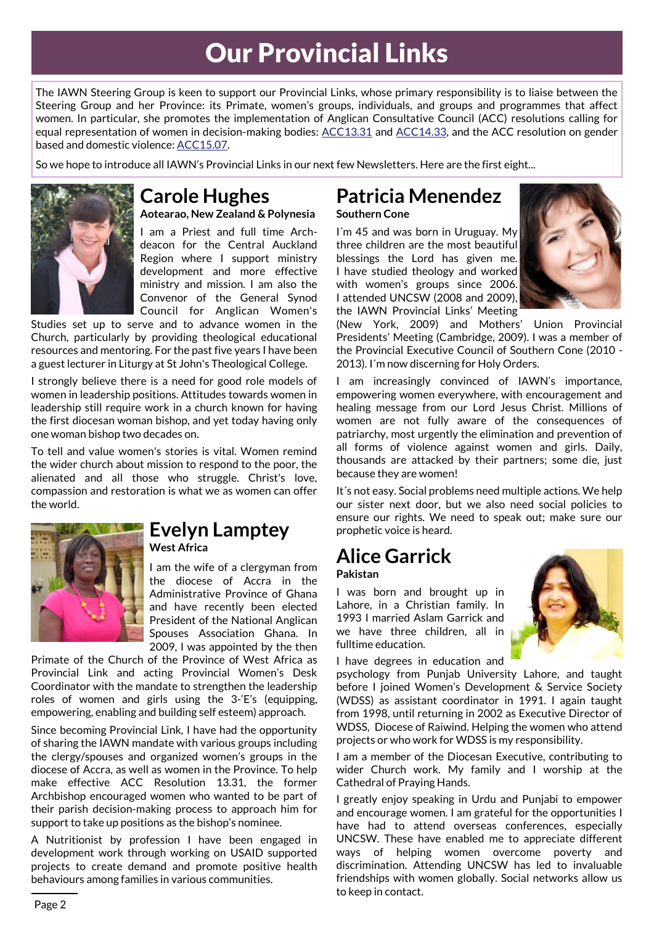# Our Provincial Links

The IAWN Steering Group is keen to support our Provincial Links, whose primary responsibility is to liaise between the Steering Group and her Province: its Primate, women's groups, individuals, and groups and programmes that affect women. In particular, she promotes the implementation of Anglican Consultative Council (ACC) resolutions calling for equal representation of women in decision-making bodies: [ACC13.31](http://www.anglicancommunion.org/communion/acc/meetings/acc13/resolutions.cfm#s31) and [ACC14.33,](http://www.anglicancommunion.org/communion/acc/meetings/acc14/resolutions.cfm#s33) and the ACC resolution on gender based and domestic violence: [ACC15.07.](http://www.anglicancommunion.org/communion/acc/meetings/acc15/resolutions.cfm#s7)

So we hope to introduce all IAWN's Provincial Links in our next few Newsletters. Here are the first eight...



#### **Carole Hughes Aotearao, New Zealand & Polynesia**

I am a Priest and full time Archdeacon for the Central Auckland Region where I support ministry development and more effective ministry and mission. I am also the Convenor of the General Synod Council for Anglican Women's

Studies set up to serve and to advance women in the Church, particularly by providing theological educational resources and mentoring. For the past five years I have been a guest lecturer in Liturgy at St John's Theological College.

I strongly believe there is a need for good role models of women in leadership positions. Attitudes towards women in leadership still require work in a church known for having the first diocesan woman bishop, and yet today having only one woman bishop two decades on.

To tell and value women's stories is vital. Women remind the wider church about mission to respond to the poor, the alienated and all those who struggle. Christ's love, compassion and restoration is what we as women can offer the world.



#### **Evelyn Lamptey West Africa**

I am the wife of a clergyman from the diocese of Accra in the Administrative Province of Ghana and have recently been elected President of the National Anglican Spouses Association Ghana. In 2009, I was appointed by the then

Primate of the Church of the Province of West Africa as Provincial Link and acting Provincial Women's Desk Coordinator with the mandate to strengthen the leadership roles of women and girls using the 3-'E's (equipping, empowering, enabling and building self esteem) approach.

Since becoming Provincial Link, I have had the opportunity of sharing the IAWN mandate with various groups including the clergy/spouses and organized women's groups in the diocese of Accra, as well as women in the Province. To help make effective ACC Resolution 13.31, the former Archbishop encouraged women who wanted to be part of their parish decision-making process to approach him for support to take up positions as the bishop's nominee.

A Nutritionist by profession I have been engaged in development work through working on USAID supported projects to create demand and promote positive health behaviours among families in various communities.

#### **Patricia Menendez Southern Cone**

I´m 45 and was born in Uruguay. My three children are the most beautiful blessings the Lord has given me. I have studied theology and worked with women's groups since 2006. I attended UNCSW (2008 and 2009), the IAWN Provincial Links' Meeting



(New York, 2009) and Mothers' Union Provincial Presidents' Meeting (Cambridge, 2009). I was a member of the Provincial Executive Council of Southern Cone (2010 - 2013). I´m now discerning for Holy Orders.

I am increasingly convinced of IAWN's importance, empowering women everywhere, with encouragement and healing message from our Lord Jesus Christ. Millions of women are not fully aware of the consequences of patriarchy, most urgently the elimination and prevention of all forms of violence against women and girls. Daily, thousands are attacked by their partners; some die, just because they are women!

It´s not easy. Social problems need multiple actions. We help our sister next door, but we also need social policies to ensure our rights. We need to speak out; make sure our prophetic voice is heard.

## **Alice Garrick**

#### **Pakistan**

I was born and brought up in Lahore, in a Christian family. In 1993 I married Aslam Garrick and we have three children, all in fulltime education.

I have degrees in education and

psychology from Punjab University Lahore, and taught before I joined Women's Development & Service Society (WDSS) as assistant coordinator in 1991. I again taught from 1998, until returning in 2002 as Executive Director of WDSS, Diocese of Raiwind. Helping the women who attend projects or who work for WDSS is my responsibility.

I am a member of the Diocesan Executive, contributing to wider Church work. My family and I worship at the Cathedral of Praying Hands.

I greatly enjoy speaking in Urdu and Punjabi to empower and encourage women. I am grateful for the opportunities I have had to attend overseas conferences, especially UNCSW. These have enabled me to appreciate different ways of helping women overcome poverty and discrimination. Attending UNCSW has led to invaluable friendships with women globally. Social networks allow us to keep in contact.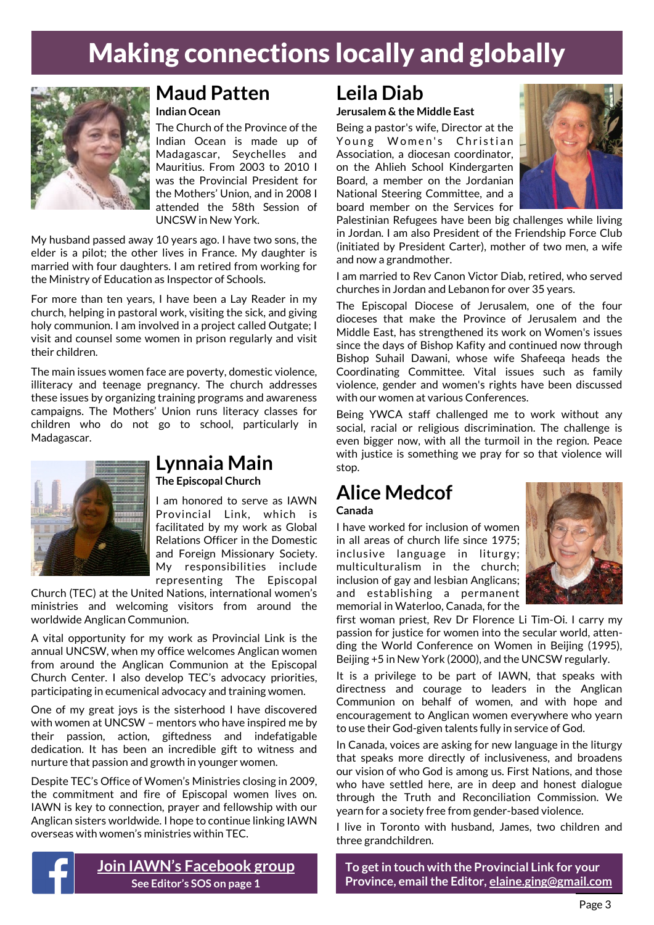# Making connections locally and globally



#### **Maud Patten Indian Ocean**

The Church of the Province of the Indian Ocean is made up of Madagascar, Seychelles and Mauritius. From 2003 to 2010 I was the Provincial President for the Mothers' Union, and in 2008 I attended the 58th Session of UNCSW in New York.

My husband passed away 10 years ago. I have two sons, the elder is a pilot; the other lives in France. My daughter is married with four daughters. I am retired from working for the Ministry of Education as Inspector of Schools.

For more than ten years, I have been a Lay Reader in my church, helping in pastoral work, visiting the sick, and giving holy communion. I am involved in a project called Outgate; I visit and counsel some women in prison regularly and visit their children.

The main issues women face are poverty, domestic violence, illiteracy and teenage pregnancy. The church addresses these issues by organizing training programs and awareness campaigns. The Mothers' Union runs literacy classes for children who do not go to school, particularly in Madagascar.



#### **Lynnaia Main The Episcopal Church**

I am honored to serve as IAWN Provincial Link, which is facilitated by my work as Global Relations Officer in the Domestic and Foreign Missionary Society. My responsibilities include representing The Episcopal

Church (TEC) at the United Nations, international women's ministries and welcoming visitors from around the worldwide Anglican Communion.

A vital opportunity for my work as Provincial Link is the annual UNCSW, when my office welcomes Anglican women from around the Anglican Communion at the Episcopal Church Center. I also develop TEC's advocacy priorities, participating in ecumenical advocacy and training women.

One of my great joys is the sisterhood I have discovered with women at UNCSW – mentors who have inspired me by their passion, action, giftedness and indefatigable dedication. It has been an incredible gift to witness and nurture that passion and growth in younger women.

Despite TEC's Office of Women's Ministries closing in 2009, the commitment and fire of Episcopal women lives on. IAWN is key to connection, prayer and fellowship with our Anglican sisters worldwide. I hope to continue linking IAWN overseas with women's ministries within TEC.



## **Leila Diab**

**Jerusalem & the Middle East**

Being a pastor's wife, Director at the Young Women's Christian Association, a diocesan coordinator, on the Ahlieh School Kindergarten Board, a member on the Jordanian National Steering Committee, and a board member on the Services for



Palestinian Refugees have been big challenges while living in Jordan. I am also President of the Friendship Force Club (initiated by President Carter), mother of two men, a wife and now a grandmother.

I am married to Rev Canon Victor Diab, retired, who served churches in Jordan and Lebanon for over 35 years.

The Episcopal Diocese of Jerusalem, one of the four dioceses that make the Province of Jerusalem and the Middle East, has strengthened its work on Women's issues since the days of Bishop Kafity and continued now through Bishop Suhail Dawani, whose wife Shafeeqa heads the Coordinating Committee. Vital issues such as family violence, gender and women's rights have been discussed with our women at various Conferences.

Being YWCA staff challenged me to work without any social, racial or religious discrimination. The challenge is even bigger now, with all the turmoil in the region. Peace with justice is something we pray for so that violence will stop.

## **Alice Medcof**

#### **Canada**

I have worked for inclusion of women in all areas of church life since 1975; inclusive language in liturgy; multiculturalism in the church; inclusion of gay and lesbian Anglicans; and establishing a permanent memorial in Waterloo, Canada, for the



first woman priest, Rev Dr Florence Li Tim-Oi. I carry my passion for justice for women into the secular world, attending the World Conference on Women in Beijing (1995), Beijing +5 in New York (2000), and the UNCSW regularly.

It is a privilege to be part of IAWN, that speaks with directness and courage to leaders in the Anglican Communion on behalf of women, and with hope and encouragement to Anglican women everywhere who yearn to use their God-given talents fully in service of God.

In Canada, voices are asking for new language in the liturgy that speaks more directly of inclusiveness, and broadens our vision of who God is among us. First Nations, and those who have settled here, are in deep and honest dialogue through the Truth and Reconciliation Commission. We yearn for a society free from gender-based violence.

I live in Toronto with husband, James, two children and three grandchildren.

**To get in touch with the Provincial Link for your Province, email the Editor, [elaine.ging@gmail.com](mailto:Elaine.ging@gmail.com)**